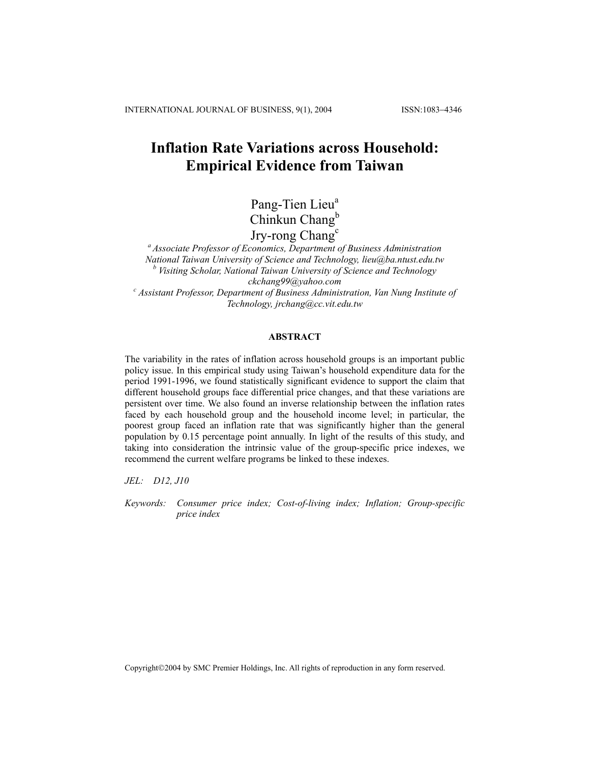# **Inflation Rate Variations across Household: Empirical Evidence from Taiwan**

Pang-Tien Lieu<sup>a</sup> Chinkun Chang<sup>b</sup> Jry-rong Chang<sup>c</sup>

*a Associate Professor of Economics, Department of Business Administration National Taiwan University of Science and Technology, lieu@ba.ntust.edu.tw*  <sup>*b*</sup> Visiting Scholar, National Taiwan University of Science and Technology *ckchang99@yahoo.com c Assistant Professor, Department of Business Administration, Van Nung Institute of Technology, jrchang@cc.vit.edu.tw* 

## **ABSTRACT**

The variability in the rates of inflation across household groups is an important public policy issue. In this empirical study using Taiwan's household expenditure data for the period 1991-1996, we found statistically significant evidence to support the claim that different household groups face differential price changes, and that these variations are persistent over time. We also found an inverse relationship between the inflation rates faced by each household group and the household income level; in particular, the poorest group faced an inflation rate that was significantly higher than the general population by 0.15 percentage point annually. In light of the results of this study, and taking into consideration the intrinsic value of the group-specific price indexes, we recommend the current welfare programs be linked to these indexes.

*JEL: D12, J10* 

*Keywords: Consumer price index; Cost-of-living index; Inflation; Group-specific price index* 

Copyright©2004 by SMC Premier Holdings, Inc. All rights of reproduction in any form reserved.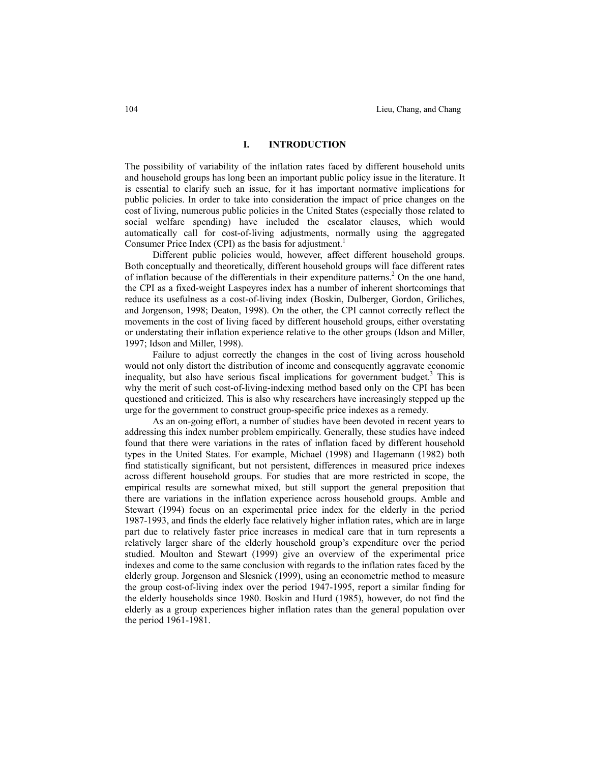## **I. INTRODUCTION**

The possibility of variability of the inflation rates faced by different household units and household groups has long been an important public policy issue in the literature. It is essential to clarify such an issue, for it has important normative implications for public policies. In order to take into consideration the impact of price changes on the cost of living, numerous public policies in the United States (especially those related to social welfare spending) have included the escalator clauses, which would automatically call for cost-of-living adjustments, normally using the aggregated Consumer Price Index (CPI) as the basis for adjustment.<sup>1</sup>

 Different public policies would, however, affect different household groups. Both conceptually and theoretically, different household groups will face different rates of inflation because of the differentials in their expenditure patterns.<sup>2</sup> On the one hand, the CPI as a fixed-weight Laspeyres index has a number of inherent shortcomings that reduce its usefulness as a cost-of-living index (Boskin, Dulberger, Gordon, Griliches, and Jorgenson, 1998; Deaton, 1998). On the other, the CPI cannot correctly reflect the movements in the cost of living faced by different household groups, either overstating or understating their inflation experience relative to the other groups (Idson and Miller, 1997; Idson and Miller, 1998).

 Failure to adjust correctly the changes in the cost of living across household would not only distort the distribution of income and consequently aggravate economic inequality, but also have serious fiscal implications for government budget.<sup>3</sup> This is why the merit of such cost-of-living-indexing method based only on the CPI has been questioned and criticized. This is also why researchers have increasingly stepped up the urge for the government to construct group-specific price indexes as a remedy.

 As an on-going effort, a number of studies have been devoted in recent years to addressing this index number problem empirically. Generally, these studies have indeed found that there were variations in the rates of inflation faced by different household types in the United States. For example, Michael (1998) and Hagemann (1982) both find statistically significant, but not persistent, differences in measured price indexes across different household groups. For studies that are more restricted in scope, the empirical results are somewhat mixed, but still support the general preposition that there are variations in the inflation experience across household groups. Amble and Stewart (1994) focus on an experimental price index for the elderly in the period 1987-1993, and finds the elderly face relatively higher inflation rates, which are in large part due to relatively faster price increases in medical care that in turn represents a relatively larger share of the elderly household group's expenditure over the period studied. Moulton and Stewart (1999) give an overview of the experimental price indexes and come to the same conclusion with regards to the inflation rates faced by the elderly group. Jorgenson and Slesnick (1999), using an econometric method to measure the group cost-of-living index over the period 1947-1995, report a similar finding for the elderly households since 1980. Boskin and Hurd (1985), however, do not find the elderly as a group experiences higher inflation rates than the general population over the period 1961-1981.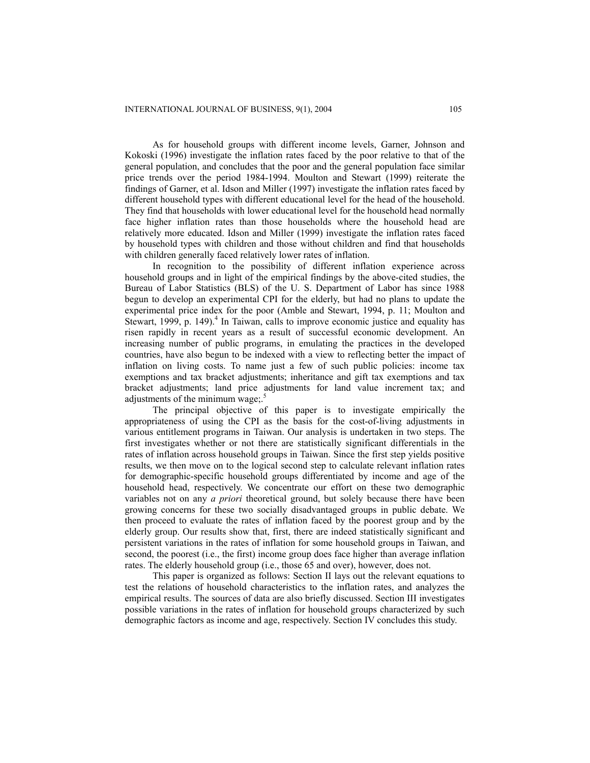As for household groups with different income levels, Garner, Johnson and Kokoski (1996) investigate the inflation rates faced by the poor relative to that of the general population, and concludes that the poor and the general population face similar price trends over the period 1984-1994. Moulton and Stewart (1999) reiterate the findings of Garner, et al. Idson and Miller (1997) investigate the inflation rates faced by different household types with different educational level for the head of the household. They find that households with lower educational level for the household head normally face higher inflation rates than those households where the household head are relatively more educated. Idson and Miller (1999) investigate the inflation rates faced by household types with children and those without children and find that households with children generally faced relatively lower rates of inflation.

 In recognition to the possibility of different inflation experience across household groups and in light of the empirical findings by the above-cited studies, the Bureau of Labor Statistics (BLS) of the U. S. Department of Labor has since 1988 begun to develop an experimental CPI for the elderly, but had no plans to update the experimental price index for the poor (Amble and Stewart, 1994, p. 11; Moulton and Stewart, 1999, p. 149).<sup>4</sup> In Taiwan, calls to improve economic justice and equality has risen rapidly in recent years as a result of successful economic development. An increasing number of public programs, in emulating the practices in the developed countries, have also begun to be indexed with a view to reflecting better the impact of inflation on living costs. To name just a few of such public policies: income tax exemptions and tax bracket adjustments; inheritance and gift tax exemptions and tax bracket adjustments; land price adjustments for land value increment tax; and adjustments of the minimum wage;.<sup>5</sup>

 The principal objective of this paper is to investigate empirically the appropriateness of using the CPI as the basis for the cost-of-living adjustments in various entitlement programs in Taiwan. Our analysis is undertaken in two steps. The first investigates whether or not there are statistically significant differentials in the rates of inflation across household groups in Taiwan. Since the first step yields positive results, we then move on to the logical second step to calculate relevant inflation rates for demographic-specific household groups differentiated by income and age of the household head, respectively. We concentrate our effort on these two demographic variables not on any *a priori* theoretical ground, but solely because there have been growing concerns for these two socially disadvantaged groups in public debate. We then proceed to evaluate the rates of inflation faced by the poorest group and by the elderly group. Our results show that, first, there are indeed statistically significant and persistent variations in the rates of inflation for some household groups in Taiwan, and second, the poorest (i.e., the first) income group does face higher than average inflation rates. The elderly household group (i.e., those 65 and over), however, does not.

 This paper is organized as follows: Section II lays out the relevant equations to test the relations of household characteristics to the inflation rates, and analyzes the empirical results. The sources of data are also briefly discussed. Section III investigates possible variations in the rates of inflation for household groups characterized by such demographic factors as income and age, respectively. Section IV concludes this study.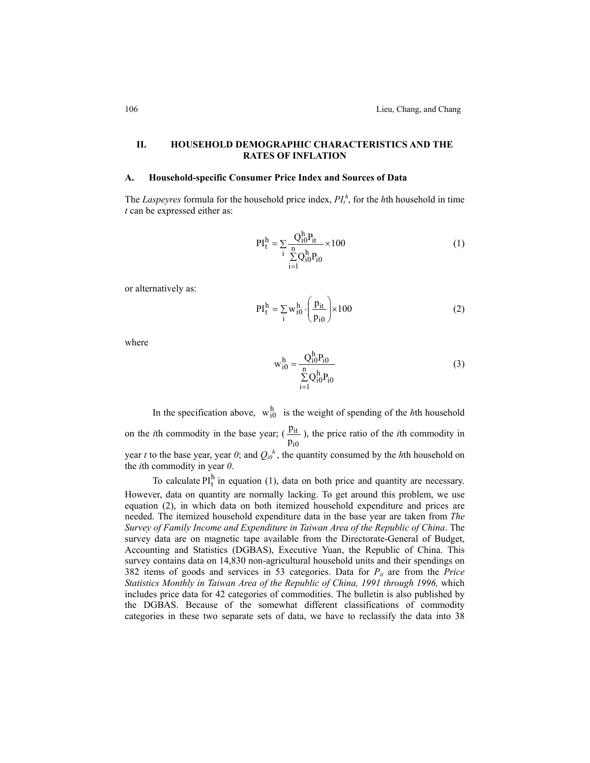## **II. HOUSEHOLD DEMOGRAPHIC CHARACTERISTICS AND THE RATES OF INFLATION**

#### **A. Household-specific Consumer Price Index and Sources of Data**

The *Laspeyres* formula for the household price index,  $PI_t^h$ , for the *h*th household in time *t* can be expressed either as:

$$
PI_t^h = \sum_{i} \frac{Q_{i0}^h P_{it}}{\sum_{i=1}^n Q_{i0}^h P_{i0}} \times 100
$$
 (1)

or alternatively as:

$$
PI_{t}^{h} = \sum_{i} w_{i0}^{h} \cdot \left(\frac{p_{it}}{p_{i0}}\right) \times 100
$$
 (2)

where

$$
w_{i0}^{h} = \frac{Q_{i0}^{h} P_{i0}}{\sum_{i=1}^{n} Q_{i0}^{h} P_{i0}}
$$
 (3)

In the specification above,  $w_{i0}^h$  is the weight of spending of the *h*th household

on the *i*th commodity in the base year; ( i0 it  $\frac{p_{it}}{p_{i0}}$ ), the price ratio of the *i*th commodity in

year *t* to the base year, year  $0$ ; and  $Q_{i0}^{h}$ , the quantity consumed by the *h*th household on the *i*th commodity in year *0*.

To calculate  $PI_t^h$  in equation (1), data on both price and quantity are necessary. However, data on quantity are normally lacking. To get around this problem, we use equation (2), in which data on both itemized household expenditure and prices are needed. The itemized household expenditure data in the base year are taken from *The Survey of Family Income and Expenditure in Taiwan Area of the Republic of China*. The survey data are on magnetic tape available from the Directorate-General of Budget, Accounting and Statistics (DGBAS), Executive Yuan, the Republic of China. This survey contains data on 14,830 non-agricultural household units and their spendings on 382 items of goods and services in 53 categories. Data for  $P_{it}$  are from the *Price Statistics Monthly in Taiwan Area of the Republic of China, 1991 through 1996,* which includes price data for 42 categories of commodities. The bulletin is also published by the DGBAS. Because of the somewhat different classifications of commodity categories in these two separate sets of data, we have to reclassify the data into 38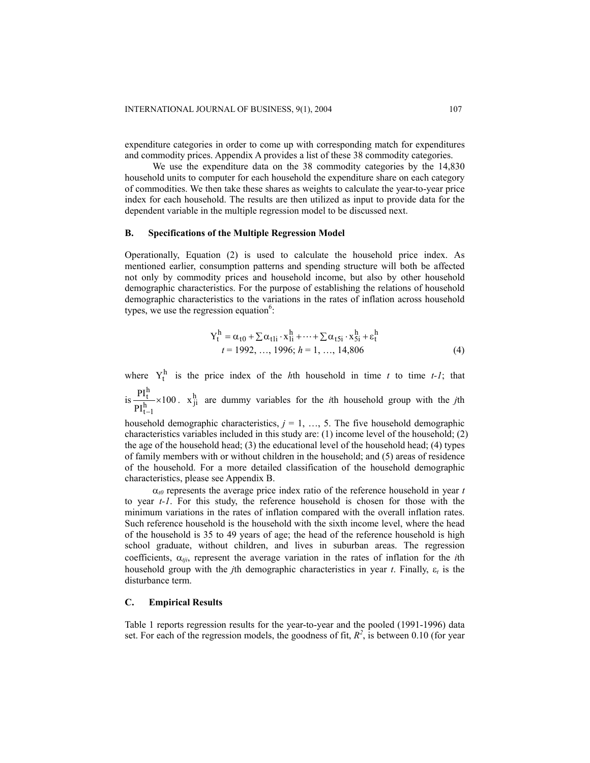expenditure categories in order to come up with corresponding match for expenditures and commodity prices. Appendix A provides a list of these 38 commodity categories.

 We use the expenditure data on the 38 commodity categories by the 14,830 household units to computer for each household the expenditure share on each category of commodities. We then take these shares as weights to calculate the year-to-year price index for each household. The results are then utilized as input to provide data for the dependent variable in the multiple regression model to be discussed next.

#### **B. Specifications of the Multiple Regression Model**

Operationally, Equation (2) is used to calculate the household price index. As mentioned earlier, consumption patterns and spending structure will both be affected not only by commodity prices and household income, but also by other household demographic characteristics. For the purpose of establishing the relations of household demographic characteristics to the variations in the rates of inflation across household types, we use the regression equation $6$ :

$$
Y_{t}^{h} = \alpha_{t0} + \sum \alpha_{t1i} \cdot x_{1i}^{h} + \dots + \sum \alpha_{t5i} \cdot x_{5i}^{h} + \varepsilon_{t}^{h}
$$
  
\n
$$
t = 1992, \dots, 1996; h = 1, \dots, 14,806
$$
 (4)

where  $Y_t^h$  is the price index of the *h*th household in time *t* to time *t-1*; that

 $is \frac{1}{h} \times 100$ PI PI h<br>t-1 h<br><u>t</u><br>x −  $x_{ji}^h$  are dummy variables for the *i*th household group with the *j*th

household demographic characteristics,  $j = 1, \ldots, 5$ . The five household demographic characteristics variables included in this study are: (1) income level of the household; (2) the age of the household head; (3) the educational level of the household head; (4) types of family members with or without children in the household; and (5) areas of residence of the household. For a more detailed classification of the household demographic characteristics, please see Appendix B.

 $\alpha_{\ell}$  represents the average price index ratio of the reference household in year *t* to year *t-1*. For this study, the reference household is chosen for those with the minimum variations in the rates of inflation compared with the overall inflation rates. Such reference household is the household with the sixth income level, where the head of the household is 35 to 49 years of age; the head of the reference household is high school graduate, without children, and lives in suburban areas. The regression coefficients, α*tji*, represent the average variation in the rates of inflation for the *i*th household group with the *j*th demographic characteristics in year *t*. Finally, ε*t* is the disturbance term.

### **C. Empirical Results**

Table 1 reports regression results for the year-to-year and the pooled (1991-1996) data set. For each of the regression models, the goodness of fit,  $R^2$ , is between 0.10 (for year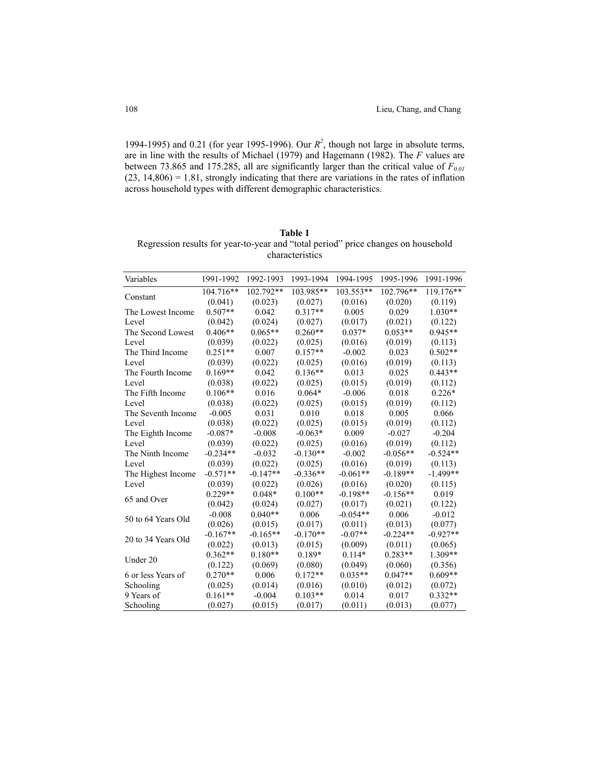1994-1995) and 0.21 (for year 1995-1996). Our  $R^2$ , though not large in absolute terms, are in line with the results of Michael (1979) and Hagemann (1982). The *F* values are between 73.865 and 175.285, all are significantly larger than the critical value of  $F_{0.01}$  $(23, 14,806) = 1.81$ , strongly indicating that there are variations in the rates of inflation across household types with different demographic characteristics.

| <b>Table 1</b>                                                                    |
|-----------------------------------------------------------------------------------|
| Regression results for year-to-year and "total period" price changes on household |
| characteristics                                                                   |

| Variables          | 1991-1992  | 1992-1993  | 1993-1994  | 1994-1995  | 1995-1996  | 1991-1996   |
|--------------------|------------|------------|------------|------------|------------|-------------|
|                    | 104.716**  | 102.792**  | 103.985**  | 103.553**  | 102.796**  | $119.176**$ |
| Constant           | (0.041)    | (0.023)    | (0.027)    | (0.016)    | (0.020)    | (0.119)     |
| The Lowest Income  | $0.507**$  | 0.042      | $0.317**$  | 0.005      | 0.029      | $1.030**$   |
| Level              | (0.042)    | (0.024)    | (0.027)    | (0.017)    | (0.021)    | (0.122)     |
| The Second Lowest  | $0.406**$  | $0.065**$  | $0.260**$  | $0.037*$   | $0.053**$  | $0.945**$   |
| Level              | (0.039)    | (0.022)    | (0.025)    | (0.016)    | (0.019)    | (0.113)     |
| The Third Income   | $0.251**$  | 0.007      | $0.157**$  | $-0.002$   | 0.023      | $0.502**$   |
| Level              | (0.039)    | (0.022)    | (0.025)    | (0.016)    | (0.019)    | (0.113)     |
| The Fourth Income  | $0.169**$  | 0.042      | $0.136**$  | 0.013      | 0.025      | $0.443**$   |
| Level              | (0.038)    | (0.022)    | (0.025)    | (0.015)    | (0.019)    | (0.112)     |
| The Fifth Income   | $0.106**$  | 0.016      | $0.064*$   | $-0.006$   | 0.018      | $0.226*$    |
| Level              | (0.038)    | (0.022)    | (0.025)    | (0.015)    | (0.019)    | (0.112)     |
| The Seventh Income | $-0.005$   | 0.031      | 0.010      | 0.018      | 0.005      | 0.066       |
| Level              | (0.038)    | (0.022)    | (0.025)    | (0.015)    | (0.019)    | (0.112)     |
| The Eighth Income  | $-0.087*$  | $-0.008$   | $-0.063*$  | 0.009      | $-0.027$   | $-0.204$    |
| Level              | (0.039)    | (0.022)    | (0.025)    | (0.016)    | (0.019)    | (0.112)     |
| The Ninth Income   | $-0.234**$ | $-0.032$   | $-0.130**$ | $-0.002$   | $-0.056**$ | $-0.524**$  |
| Level              | (0.039)    | (0.022)    | (0.025)    | (0.016)    | (0.019)    | (0.113)     |
| The Highest Income | $-0.571**$ | $-0.147**$ | $-0.336**$ | $-0.061**$ | $-0.189**$ | $-1.499**$  |
| Level              | (0.039)    | (0.022)    | (0.026)    | (0.016)    | (0.020)    | (0.115)     |
| 65 and Over        | $0.229**$  | $0.048*$   | $0.100**$  | $-0.198**$ | $-0.156**$ | 0.019       |
|                    | (0.042)    | (0.024)    | (0.027)    | (0.017)    | (0.021)    | (0.122)     |
| 50 to 64 Years Old | $-0.008$   | $0.040**$  | 0.006      | $-0.054**$ | 0.006      | $-0.012$    |
|                    | (0.026)    | (0.015)    | (0.017)    | (0.011)    | (0.013)    | (0.077)     |
| 20 to 34 Years Old | $-0.167**$ | $-0.165**$ | $-0.170**$ | $-0.07**$  | $-0.224**$ | $-0.927**$  |
|                    | (0.022)    | (0.013)    | (0.015)    | (0.009)    | (0.011)    | (0.065)     |
| Under 20           | $0.362**$  | $0.180**$  | 0.189*     | $0.114*$   | $0.283**$  | 1.309**     |
|                    | (0.122)    | (0.069)    | (0.080)    | (0.049)    | (0.060)    | (0.356)     |
| 6 or less Years of | $0.270**$  | 0.006      | $0.172**$  | $0.035**$  | $0.047**$  | $0.609**$   |
| Schooling          | (0.025)    | (0.014)    | (0.016)    | (0.010)    | (0.012)    | (0.072)     |
| 9 Years of         | $0.161**$  | $-0.004$   | $0.103**$  | 0.014      | 0.017      | $0.332**$   |
| Schooling          | (0.027)    | (0.015)    | (0.017)    | (0.011)    | (0.013)    | (0.077)     |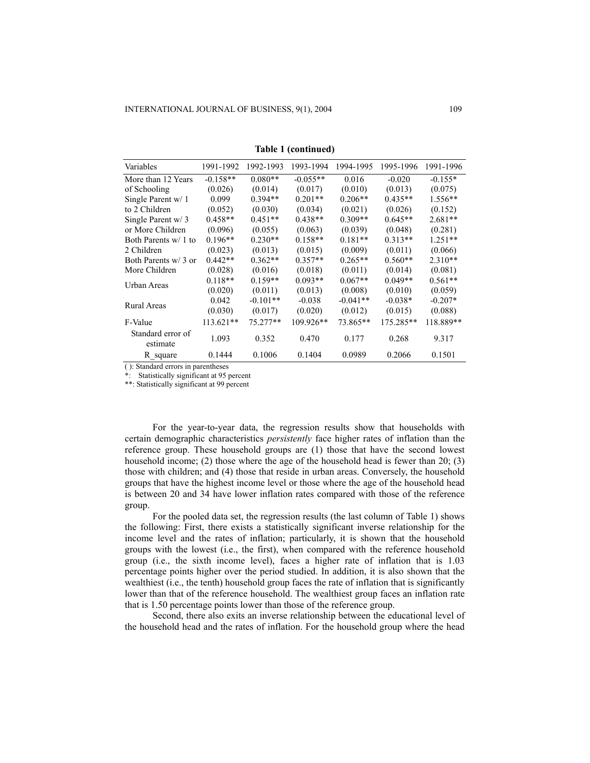| Variables                     | 1991-1992  | 1992-1993  | 1993-1994  | 1994-1995  | 1995-1996 | 1991-1996 |
|-------------------------------|------------|------------|------------|------------|-----------|-----------|
| More than 12 Years            | $-0.158**$ | $0.080**$  | $-0.055**$ | 0.016      | $-0.020$  | $-0.155*$ |
| of Schooling                  | (0.026)    | (0.014)    | (0.017)    | (0.010)    | (0.013)   | (0.075)   |
| Single Parent w/ 1            | 0.099      | $0.394**$  | $0.201**$  | $0.206**$  | $0.435**$ | $1.556**$ |
| to 2 Children                 | (0.052)    | (0.030)    | (0.034)    | (0.021)    | (0.026)   | (0.152)   |
| Single Parent w/3             | $0.458**$  | $0.451**$  | $0.438**$  | $0.309**$  | $0.645**$ | $2.681**$ |
| or More Children              | (0.096)    | (0.055)    | (0.063)    | (0.039)    | (0.048)   | (0.281)   |
| Both Parents w/ 1 to          | $0.196**$  | $0.230**$  | $0.158**$  | $0.181**$  | $0.313**$ | $1.251**$ |
| 2 Children                    | (0.023)    | (0.013)    | (0.015)    | (0.009)    | (0.011)   | (0.066)   |
| Both Parents w/ 3 or          | $0.442**$  | $0.362**$  | $0.357**$  | $0.265**$  | $0.560**$ | $2.310**$ |
| More Children                 | (0.028)    | (0.016)    | (0.018)    | (0.011)    | (0.014)   | (0.081)   |
| Urban Areas                   | $0.118**$  | $0.159**$  | $0.093**$  | $0.067**$  | $0.049**$ | $0.561**$ |
|                               | (0.020)    | (0.011)    | (0.013)    | (0.008)    | (0.010)   | (0.059)   |
| Rural Areas                   | 0.042      | $-0.101**$ | $-0.038$   | $-0.041**$ | $-0.038*$ | $-0.207*$ |
|                               | (0.030)    | (0.017)    | (0.020)    | (0.012)    | (0.015)   | (0.088)   |
| F-Value                       | 113.621**  | 75.277**   | 109.926**  | 73.865**   | 175.285** | 118.889** |
| Standard error of<br>estimate | 1.093      | 0.352      | 0.470      | 0.177      | 0.268     | 9.317     |
| R square                      | 0.1444     | 0.1006     | 0.1404     | 0.0989     | 0.2066    | 0.1501    |

**Table 1 (continued)** 

( ): Standard errors in parentheses

Statistically significant at 95 percent

\*\*: Statistically significant at 99 percent

For the year-to-year data, the regression results show that households with certain demographic characteristics *persistently* face higher rates of inflation than the reference group. These household groups are (1) those that have the second lowest household income; (2) those where the age of the household head is fewer than 20; (3) those with children; and (4) those that reside in urban areas. Conversely, the household groups that have the highest income level or those where the age of the household head is between 20 and 34 have lower inflation rates compared with those of the reference group.

 For the pooled data set, the regression results (the last column of Table 1) shows the following: First, there exists a statistically significant inverse relationship for the income level and the rates of inflation; particularly, it is shown that the household groups with the lowest (i.e., the first), when compared with the reference household group (i.e., the sixth income level), faces a higher rate of inflation that is 1.03 percentage points higher over the period studied. In addition, it is also shown that the wealthiest (i.e., the tenth) household group faces the rate of inflation that is significantly lower than that of the reference household. The wealthiest group faces an inflation rate that is 1.50 percentage points lower than those of the reference group.

 Second, there also exits an inverse relationship between the educational level of the household head and the rates of inflation. For the household group where the head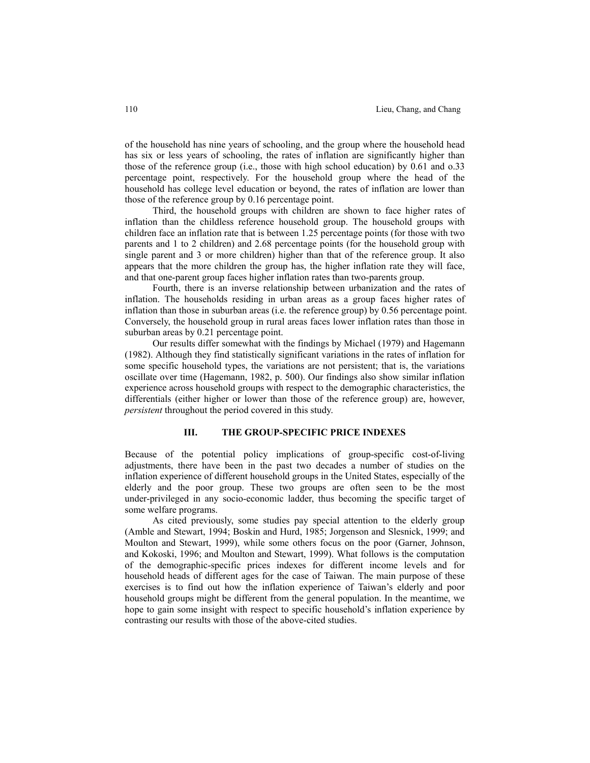110 Lieu, Chang, and Chang

of the household has nine years of schooling, and the group where the household head has six or less years of schooling, the rates of inflation are significantly higher than those of the reference group (i.e., those with high school education) by 0.61 and o.33 percentage point, respectively. For the household group where the head of the household has college level education or beyond, the rates of inflation are lower than those of the reference group by 0.16 percentage point.

 Third, the household groups with children are shown to face higher rates of inflation than the childless reference household group. The household groups with children face an inflation rate that is between 1.25 percentage points (for those with two parents and 1 to 2 children) and 2.68 percentage points (for the household group with single parent and 3 or more children) higher than that of the reference group. It also appears that the more children the group has, the higher inflation rate they will face, and that one-parent group faces higher inflation rates than two-parents group.

 Fourth, there is an inverse relationship between urbanization and the rates of inflation. The households residing in urban areas as a group faces higher rates of inflation than those in suburban areas (i.e. the reference group) by 0.56 percentage point. Conversely, the household group in rural areas faces lower inflation rates than those in suburban areas by 0.21 percentage point.

 Our results differ somewhat with the findings by Michael (1979) and Hagemann (1982). Although they find statistically significant variations in the rates of inflation for some specific household types, the variations are not persistent; that is, the variations oscillate over time (Hagemann, 1982, p. 500). Our findings also show similar inflation experience across household groups with respect to the demographic characteristics, the differentials (either higher or lower than those of the reference group) are, however, *persistent* throughout the period covered in this study.

#### **III. THE GROUP-SPECIFIC PRICE INDEXES**

Because of the potential policy implications of group-specific cost-of-living adjustments, there have been in the past two decades a number of studies on the inflation experience of different household groups in the United States, especially of the elderly and the poor group. These two groups are often seen to be the most under-privileged in any socio-economic ladder, thus becoming the specific target of some welfare programs.

 As cited previously, some studies pay special attention to the elderly group (Amble and Stewart, 1994; Boskin and Hurd, 1985; Jorgenson and Slesnick, 1999; and Moulton and Stewart, 1999), while some others focus on the poor (Garner, Johnson, and Kokoski, 1996; and Moulton and Stewart, 1999). What follows is the computation of the demographic-specific prices indexes for different income levels and for household heads of different ages for the case of Taiwan. The main purpose of these exercises is to find out how the inflation experience of Taiwan's elderly and poor household groups might be different from the general population. In the meantime, we hope to gain some insight with respect to specific household's inflation experience by contrasting our results with those of the above-cited studies.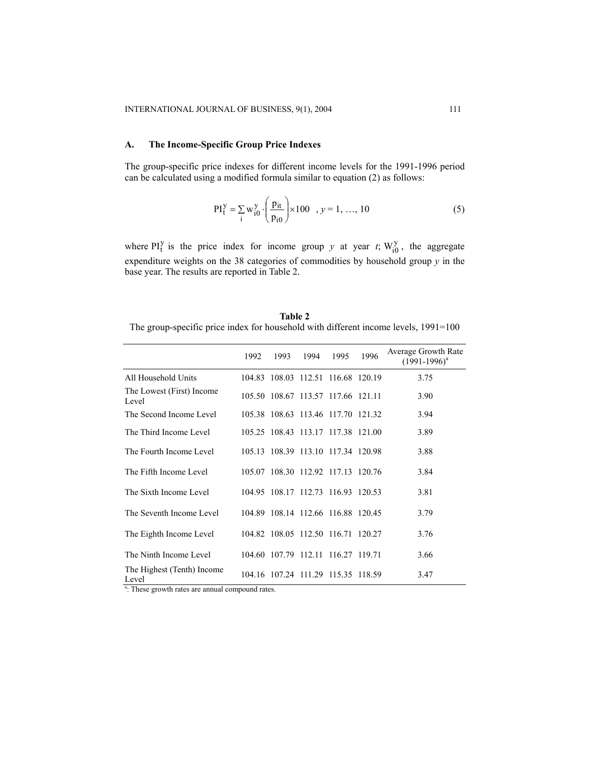## **A. The Income-Specific Group Price Indexes**

The group-specific price indexes for different income levels for the 1991-1996 period can be calculated using a modified formula similar to equation (2) as follows:

$$
PI_{t}^{y} = \sum_{i} w_{i0}^{y} \cdot \left(\frac{p_{it}}{p_{i0}}\right) \times 100 \quad , y = 1, ..., 10
$$
 (5)

where  $PI_t^y$  is the price index for income group *y* at year *t*;  $W_{i0}^y$ , the aggregate expenditure weights on the 38 categories of commodities by household group *y* in the base year. The results are reported in Table 2.

**Table 2**  The group-specific price index for household with different income levels, 1991=100

|                                     | 1992   | 1993                               | 1994 | 1995 | 1996 | Average Growth Rate<br>$(1991 - 1996)^{a}$ |
|-------------------------------------|--------|------------------------------------|------|------|------|--------------------------------------------|
| All Household Units                 |        | 104.83 108.03 112.51 116.68 120.19 |      |      |      | 3.75                                       |
| The Lowest (First) Income<br>Level  | 105.50 | 108.67 113.57 117.66 121.11        |      |      |      | 3.90                                       |
| The Second Income Level             |        | 105.38 108.63 113.46 117.70 121.32 |      |      |      | 3.94                                       |
| The Third Income Level              |        | 105.25 108.43 113.17 117.38 121.00 |      |      |      | 3.89                                       |
| The Fourth Income Level             |        | 105.13 108.39 113.10 117.34 120.98 |      |      |      | 3.88                                       |
| The Fifth Income Level              |        | 105.07 108.30 112.92 117.13 120.76 |      |      |      | 3.84                                       |
| The Sixth Income Level              |        | 104.95 108.17 112.73 116.93 120.53 |      |      |      | 3.81                                       |
| The Seventh Income Level            |        | 104.89 108.14 112.66 116.88 120.45 |      |      |      | 3.79                                       |
| The Eighth Income Level             |        | 104.82 108.05 112.50 116.71 120.27 |      |      |      | 3.76                                       |
| The Ninth Income Level              |        | 104.60 107.79 112.11 116.27 119.71 |      |      |      | 3.66                                       |
| The Highest (Tenth) Income<br>Level |        | 104.16 107.24 111.29 115.35 118.59 |      |      |      | 3.47                                       |

<sup>a</sup>: These growth rates are annual compound rates.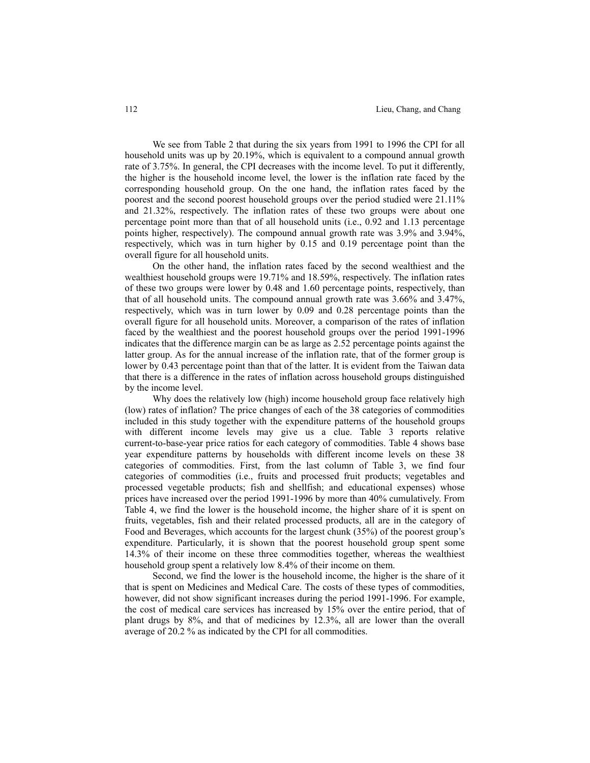We see from Table 2 that during the six years from 1991 to 1996 the CPI for all household units was up by 20.19%, which is equivalent to a compound annual growth rate of 3.75%. In general, the CPI decreases with the income level. To put it differently, the higher is the household income level, the lower is the inflation rate faced by the corresponding household group. On the one hand, the inflation rates faced by the poorest and the second poorest household groups over the period studied were 21.11% and 21.32%, respectively. The inflation rates of these two groups were about one percentage point more than that of all household units (i.e., 0.92 and 1.13 percentage points higher, respectively). The compound annual growth rate was 3.9% and 3.94%, respectively, which was in turn higher by 0.15 and 0.19 percentage point than the overall figure for all household units.

 On the other hand, the inflation rates faced by the second wealthiest and the wealthiest household groups were 19.71% and 18.59%, respectively. The inflation rates of these two groups were lower by 0.48 and 1.60 percentage points, respectively, than that of all household units. The compound annual growth rate was 3.66% and 3.47%, respectively, which was in turn lower by 0.09 and 0.28 percentage points than the overall figure for all household units. Moreover, a comparison of the rates of inflation faced by the wealthiest and the poorest household groups over the period 1991-1996 indicates that the difference margin can be as large as 2.52 percentage points against the latter group. As for the annual increase of the inflation rate, that of the former group is lower by 0.43 percentage point than that of the latter. It is evident from the Taiwan data that there is a difference in the rates of inflation across household groups distinguished by the income level.

 Why does the relatively low (high) income household group face relatively high (low) rates of inflation? The price changes of each of the 38 categories of commodities included in this study together with the expenditure patterns of the household groups with different income levels may give us a clue. Table 3 reports relative current-to-base-year price ratios for each category of commodities. Table 4 shows base year expenditure patterns by households with different income levels on these 38 categories of commodities. First, from the last column of Table 3, we find four categories of commodities (i.e., fruits and processed fruit products; vegetables and processed vegetable products; fish and shellfish; and educational expenses) whose prices have increased over the period 1991-1996 by more than 40% cumulatively. From Table 4, we find the lower is the household income, the higher share of it is spent on fruits, vegetables, fish and their related processed products, all are in the category of Food and Beverages, which accounts for the largest chunk (35%) of the poorest group's expenditure. Particularly, it is shown that the poorest household group spent some 14.3% of their income on these three commodities together, whereas the wealthiest household group spent a relatively low 8.4% of their income on them.

 Second, we find the lower is the household income, the higher is the share of it that is spent on Medicines and Medical Care. The costs of these types of commodities, however, did not show significant increases during the period 1991-1996. For example, the cost of medical care services has increased by 15% over the entire period, that of plant drugs by 8%, and that of medicines by 12.3%, all are lower than the overall average of 20.2 % as indicated by the CPI for all commodities.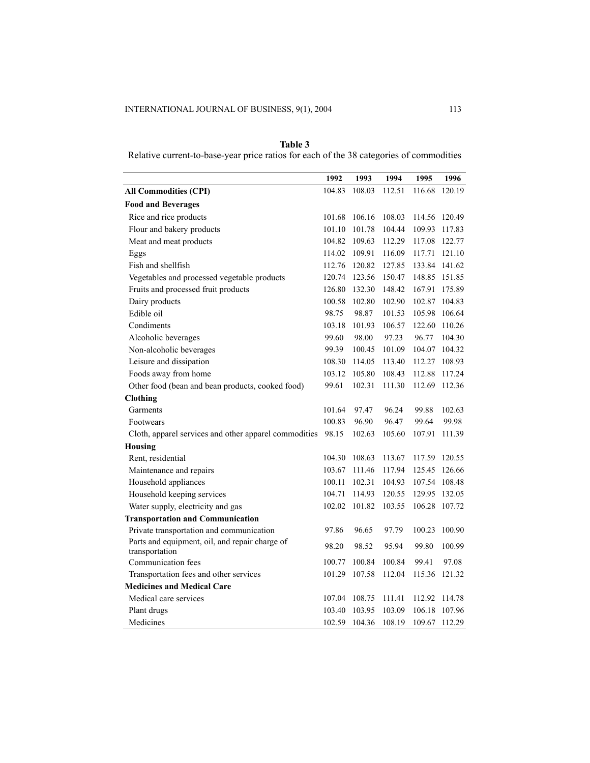| Table 3                                                                                 |
|-----------------------------------------------------------------------------------------|
| Relative current-to-base-year price ratios for each of the 38 categories of commodities |

|                                                       | 1992   | 1993   | 1994   | 1995   | 1996   |
|-------------------------------------------------------|--------|--------|--------|--------|--------|
| <b>All Commodities (CPI)</b>                          | 104.83 | 108.03 | 112.51 | 116.68 | 120.19 |
| <b>Food and Beverages</b>                             |        |        |        |        |        |
| Rice and rice products                                | 101.68 | 106.16 | 108.03 | 114.56 | 120.49 |
| Flour and bakery products                             | 101.10 | 101.78 | 104.44 | 109.93 | 117.83 |
| Meat and meat products                                | 104.82 | 109.63 | 112.29 | 117.08 | 122.77 |
| Eggs                                                  | 114.02 | 109.91 | 116.09 | 117.71 | 121.10 |
| Fish and shellfish                                    | 112.76 | 120.82 | 127.85 | 133.84 | 141.62 |
| Vegetables and processed vegetable products           | 120.74 | 123.56 | 150.47 | 148.85 | 151.85 |
| Fruits and processed fruit products                   | 126.80 | 132.30 | 148.42 | 167.91 | 175.89 |
| Dairy products                                        | 100.58 | 102.80 | 102.90 | 102.87 | 104.83 |
| Edible oil                                            | 98.75  | 98.87  | 101.53 | 105.98 | 106.64 |
| Condiments                                            | 103.18 | 101.93 | 106.57 | 122.60 | 110.26 |
| Alcoholic beverages                                   | 99.60  | 98.00  | 97.23  | 96.77  | 104.30 |
| Non-alcoholic beverages                               | 99.39  | 100.45 | 101.09 | 104.07 | 104.32 |
| Leisure and dissipation                               | 108.30 | 114.05 | 113.40 | 112.27 | 108.93 |
| Foods away from home                                  | 103.12 | 105.80 | 108.43 | 112.88 | 117.24 |
| Other food (bean and bean products, cooked food)      | 99.61  | 102.31 | 111.30 | 112.69 | 112.36 |
| <b>Clothing</b>                                       |        |        |        |        |        |
| Garments                                              | 101.64 | 97.47  | 96.24  | 99.88  | 102.63 |
| Footwears                                             | 100.83 | 96.90  | 96.47  | 99.64  | 99.98  |
| Cloth, apparel services and other apparel commodities | 98.15  | 102.63 | 105.60 | 107.91 | 111.39 |
| <b>Housing</b>                                        |        |        |        |        |        |
| Rent, residential                                     | 104.30 | 108.63 | 113.67 | 117.59 | 120.55 |
| Maintenance and repairs                               | 103.67 | 111.46 | 117.94 | 125.45 | 126.66 |
| Household appliances                                  | 100.11 | 102.31 | 104.93 | 107.54 | 108.48 |
| Household keeping services                            | 104.71 | 114.93 | 120.55 | 129.95 | 132.05 |
| Water supply, electricity and gas                     | 102.02 | 101.82 | 103.55 | 106.28 | 107.72 |
| <b>Transportation and Communication</b>               |        |        |        |        |        |
| Private transportation and communication              | 97.86  | 96.65  | 97.79  | 100.23 | 100.90 |
| Parts and equipment, oil, and repair charge of        | 98.20  | 98.52  | 95.94  | 99.80  | 100.99 |
| transportation                                        |        |        |        |        |        |
| Communication fees                                    | 100.77 | 100.84 | 100.84 | 99.41  | 97.08  |
| Transportation fees and other services                | 101.29 | 107.58 | 112.04 | 115.36 | 121.32 |
| <b>Medicines and Medical Care</b>                     |        |        |        |        |        |
| Medical care services                                 | 107.04 | 108.75 | 111.41 | 112.92 | 114.78 |
| Plant drugs                                           | 103.40 | 103.95 | 103.09 | 106.18 | 107.96 |
| Medicines                                             | 102.59 | 104.36 | 108.19 | 109.67 | 112.29 |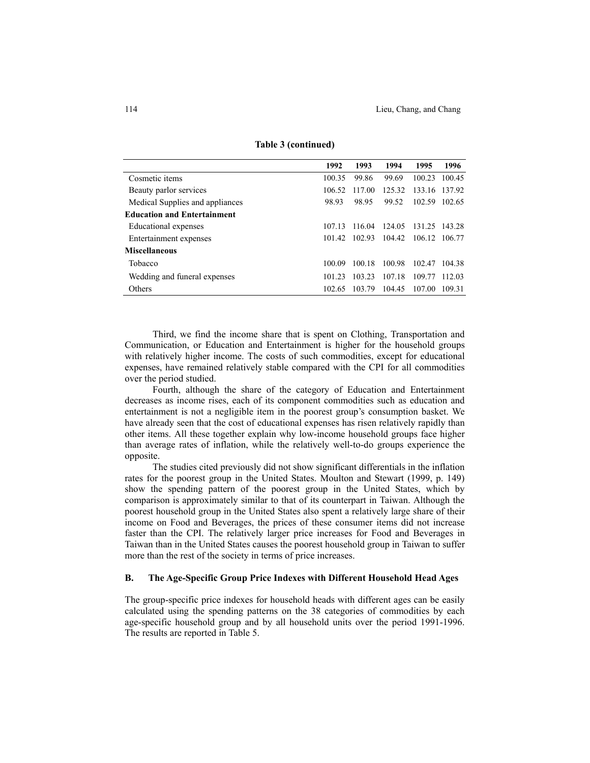|                                    | 1992   | 1993   | 1994   | 1995          | 1996   |
|------------------------------------|--------|--------|--------|---------------|--------|
| Cosmetic items                     | 100.35 | 99.86  | 99.69  | 100.23        | 100.45 |
| Beauty parlor services             | 106.52 | 117.00 | 125.32 | 133.16        | 137.92 |
| Medical Supplies and appliances    | 98.93  | 98.95  | 99.52  | 102.59        | 102.65 |
| <b>Education and Entertainment</b> |        |        |        |               |        |
| Educational expenses               | 107.13 | 116.04 | 124.05 | 131.25        | 143.28 |
| Entertainment expenses             | 101.42 | 102.93 | 104.42 | 106.12 106.77 |        |
| Miscellaneous                      |        |        |        |               |        |
| Tobacco                            | 100.09 | 100.18 | 100.98 | 102.47        | 104.38 |
| Wedding and funeral expenses       | 101 23 | 103.23 | 107.18 | 109.77        | 112.03 |
| Others                             | 102.65 | 103.79 | 104.45 | 107.00        | 109.31 |

**Table 3 (continued)** 

Third, we find the income share that is spent on Clothing, Transportation and Communication, or Education and Entertainment is higher for the household groups with relatively higher income. The costs of such commodities, except for educational expenses, have remained relatively stable compared with the CPI for all commodities over the period studied.

Fourth, although the share of the category of Education and Entertainment decreases as income rises, each of its component commodities such as education and entertainment is not a negligible item in the poorest group's consumption basket. We have already seen that the cost of educational expenses has risen relatively rapidly than other items. All these together explain why low-income household groups face higher than average rates of inflation, while the relatively well-to-do groups experience the opposite.

 The studies cited previously did not show significant differentials in the inflation rates for the poorest group in the United States. Moulton and Stewart (1999, p. 149) show the spending pattern of the poorest group in the United States, which by comparison is approximately similar to that of its counterpart in Taiwan. Although the poorest household group in the United States also spent a relatively large share of their income on Food and Beverages, the prices of these consumer items did not increase faster than the CPI. The relatively larger price increases for Food and Beverages in Taiwan than in the United States causes the poorest household group in Taiwan to suffer more than the rest of the society in terms of price increases.

## **B. The Age-Specific Group Price Indexes with Different Household Head Ages**

The group-specific price indexes for household heads with different ages can be easily calculated using the spending patterns on the 38 categories of commodities by each age-specific household group and by all household units over the period 1991-1996. The results are reported in Table 5.

 $\overline{a}$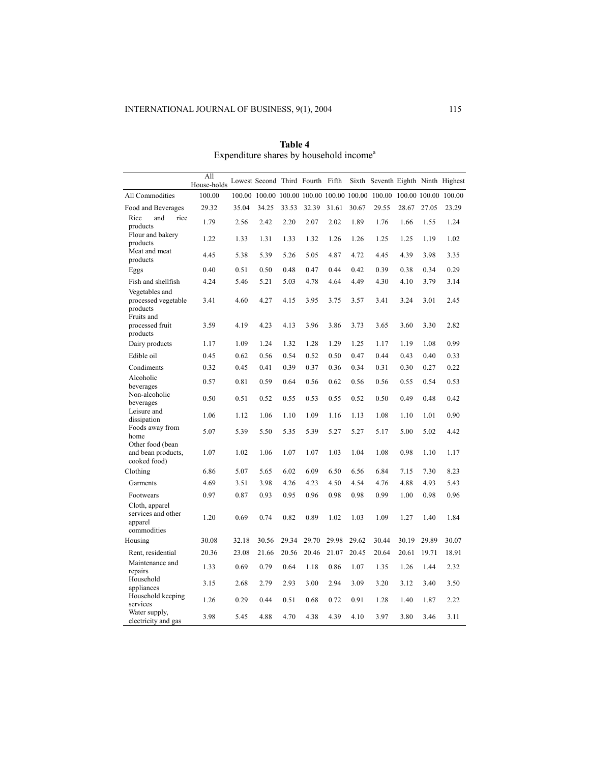|                                                                 | All<br>House-holds |        | Lowest Second Third Fourth Fifth |       |                             |       |       | Sixth Seventh Eighth Ninth Highest |       |       |                      |
|-----------------------------------------------------------------|--------------------|--------|----------------------------------|-------|-----------------------------|-------|-------|------------------------------------|-------|-------|----------------------|
| All Commodities                                                 | 100.00             | 100.00 | 100.00                           |       | 100.00 100.00 100.00 100.00 |       |       | 100.00                             |       |       | 100.00 100.00 100.00 |
| Food and Beverages                                              | 29.32              | 35.04  | 34.25                            | 33.53 | 32.39                       | 31.61 | 30.67 | 29.55                              | 28.67 | 27.05 | 23.29                |
| Rice<br>and<br>rice<br>products                                 | 1.79               | 2.56   | 2.42                             | 2.20  | 2.07                        | 2.02  | 1.89  | 1.76                               | 1.66  | 1.55  | 1.24                 |
| Flour and bakery<br>products                                    | 1.22               | 1.33   | 1.31                             | 1.33  | 1.32                        | 1.26  | 1.26  | 1.25                               | 1.25  | 1.19  | 1.02                 |
| Meat and meat<br>products                                       | 4.45               | 5.38   | 5.39                             | 5.26  | 5.05                        | 4.87  | 4.72  | 4.45                               | 4.39  | 3.98  | 3.35                 |
| Eggs                                                            | 0.40               | 0.51   | 0.50                             | 0.48  | 0.47                        | 0.44  | 0.42  | 0.39                               | 0.38  | 0.34  | 0.29                 |
| Fish and shellfish                                              | 4.24               | 5.46   | 5.21                             | 5.03  | 4.78                        | 4.64  | 4.49  | 4.30                               | 4.10  | 3.79  | 3.14                 |
| Vegetables and<br>processed vegetable<br>products<br>Fruits and | 3.41               | 4.60   | 4.27                             | 4.15  | 3.95                        | 3.75  | 3.57  | 3.41                               | 3.24  | 3.01  | 2.45                 |
| processed fruit<br>products                                     | 3.59               | 4.19   | 4.23                             | 4.13  | 3.96                        | 3.86  | 3.73  | 3.65                               | 3.60  | 3.30  | 2.82                 |
| Dairy products                                                  | 1.17               | 1.09   | 1.24                             | 1.32  | 1.28                        | 1.29  | 1.25  | 1.17                               | 1.19  | 1.08  | 0.99                 |
| Edible oil                                                      | 0.45               | 0.62   | 0.56                             | 0.54  | 0.52                        | 0.50  | 0.47  | 0.44                               | 0.43  | 0.40  | 0.33                 |
| Condiments                                                      | 0.32               | 0.45   | 0.41                             | 0.39  | 0.37                        | 0.36  | 0.34  | 0.31                               | 0.30  | 0.27  | 0.22                 |
| Alcoholic<br>beverages                                          | 0.57               | 0.81   | 0.59                             | 0.64  | 0.56                        | 0.62  | 0.56  | 0.56                               | 0.55  | 0.54  | 0.53                 |
| Non-alcoholic<br>beverages                                      | 0.50               | 0.51   | 0.52                             | 0.55  | 0.53                        | 0.55  | 0.52  | 0.50                               | 0.49  | 0.48  | 0.42                 |
| Leisure and<br>dissipation                                      | 1.06               | 1.12   | 1.06                             | 1.10  | 1.09                        | 1.16  | 1.13  | 1.08                               | 1.10  | 1.01  | 0.90                 |
| Foods away from<br>home                                         | 5.07               | 5.39   | 5.50                             | 5.35  | 5.39                        | 5.27  | 5.27  | 5.17                               | 5.00  | 5.02  | 4.42                 |
| Other food (bean<br>and bean products,<br>cooked food)          | 1.07               | 1.02   | 1.06                             | 1.07  | 1.07                        | 1.03  | 1.04  | 1.08                               | 0.98  | 1.10  | 1.17                 |
| Clothing                                                        | 6.86               | 5.07   | 5.65                             | 6.02  | 6.09                        | 6.50  | 6.56  | 6.84                               | 7.15  | 7.30  | 8.23                 |
| Garments                                                        | 4.69               | 3.51   | 3.98                             | 4.26  | 4.23                        | 4.50  | 4.54  | 4.76                               | 4.88  | 4.93  | 5.43                 |
| Footwears                                                       | 0.97               | 0.87   | 0.93                             | 0.95  | 0.96                        | 0.98  | 0.98  | 0.99                               | 1.00  | 0.98  | 0.96                 |
| Cloth, apparel<br>services and other<br>apparel<br>commodities  | 1.20               | 0.69   | 0.74                             | 0.82  | 0.89                        | 1.02  | 1.03  | 1.09                               | 1.27  | 1.40  | 1.84                 |
| Housing                                                         | 30.08              | 32.18  | 30.56                            | 29.34 | 29.70                       | 29.98 | 29.62 | 30.44                              | 30.19 | 29.89 | 30.07                |
| Rent, residential                                               | 20.36              | 23.08  | 21.66                            | 20.56 | 20.46                       | 21.07 | 20.45 | 20.64                              | 20.61 | 19.71 | 18.91                |
| Maintenance and<br>repairs                                      | 1.33               | 0.69   | 0.79                             | 0.64  | 1.18                        | 0.86  | 1.07  | 1.35                               | 1.26  | 1.44  | 2.32                 |
| Household<br>appliances                                         | 3.15               | 2.68   | 2.79                             | 2.93  | 3.00                        | 2.94  | 3.09  | 3.20                               | 3.12  | 3.40  | 3.50                 |
| Household keeping<br>services                                   | 1.26               | 0.29   | 0.44                             | 0.51  | 0.68                        | 0.72  | 0.91  | 1.28                               | 1.40  | 1.87  | 2.22                 |
| Water supply,<br>electricity and gas                            | 3.98               | 5.45   | 4.88                             | 4.70  | 4.38                        | 4.39  | 4.10  | 3.97                               | 3.80  | 3.46  | 3.11                 |

**Table 4**  Expenditure shares by household income<sup>a</sup>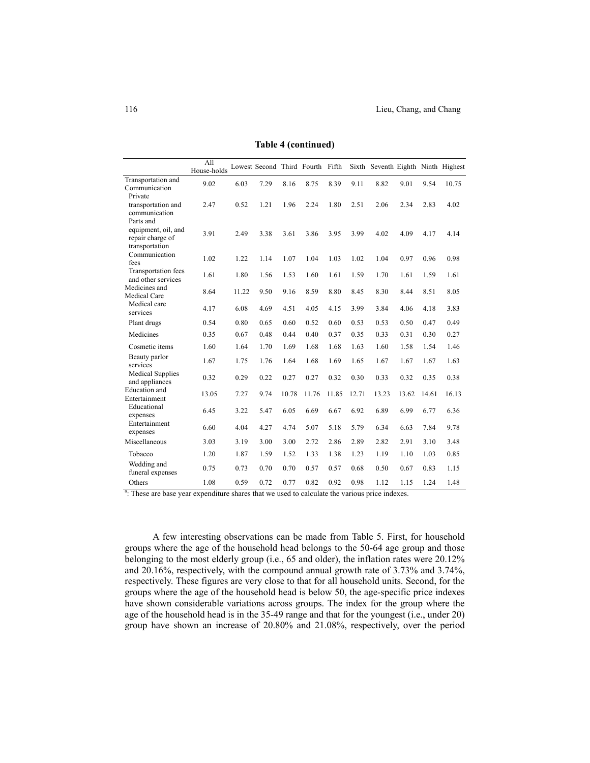|                                                                        | All<br>House-holds |       | Lowest Second Third Fourth Fifth |       |       |       |       | Sixth Seventh Eighth Ninth Highest |       |       |       |
|------------------------------------------------------------------------|--------------------|-------|----------------------------------|-------|-------|-------|-------|------------------------------------|-------|-------|-------|
| Transportation and<br>Communication                                    | 9.02               | 6.03  | 7.29                             | 8.16  | 8.75  | 8.39  | 9.11  | 8.82                               | 9.01  | 9.54  | 10.75 |
| Private<br>transportation and<br>communication                         | 2.47               | 0.52  | 1.21                             | 1.96  | 2.24  | 1.80  | 2.51  | 2.06                               | 2.34  | 2.83  | 4.02  |
| Parts and<br>equipment, oil, and<br>repair charge of<br>transportation | 3.91               | 2.49  | 3.38                             | 3.61  | 3.86  | 3.95  | 3.99  | 4.02                               | 4.09  | 4.17  | 4.14  |
| Communication<br>fees                                                  | 1.02               | 1.22  | 1.14                             | 1.07  | 1.04  | 1.03  | 1.02  | 1.04                               | 0.97  | 0.96  | 0.98  |
| Transportation fees<br>and other services                              | 1.61               | 1.80  | 1.56                             | 1.53  | 1.60  | 1.61  | 1.59  | 1.70                               | 1.61  | 1.59  | 1.61  |
| Medicines and<br><b>Medical Care</b>                                   | 8.64               | 11.22 | 9.50                             | 9.16  | 8.59  | 8.80  | 8.45  | 8.30                               | 8.44  | 8.51  | 8.05  |
| Medical care<br>services                                               | 4.17               | 6.08  | 4.69                             | 4.51  | 4.05  | 4.15  | 3.99  | 3.84                               | 4.06  | 4.18  | 3.83  |
| Plant drugs                                                            | 0.54               | 0.80  | 0.65                             | 0.60  | 0.52  | 0.60  | 0.53  | 0.53                               | 0.50  | 0.47  | 0.49  |
| Medicines                                                              | 0.35               | 0.67  | 0.48                             | 0.44  | 0.40  | 0.37  | 0.35  | 0.33                               | 0.31  | 0.30  | 0.27  |
| Cosmetic items                                                         | 1.60               | 1.64  | 1.70                             | 1.69  | 1.68  | 1.68  | 1.63  | 1.60                               | 1.58  | 1.54  | 1.46  |
| Beauty parlor<br>services                                              | 1.67               | 1.75  | 1.76                             | 1.64  | 1.68  | 1.69  | 1.65  | 1.67                               | 1.67  | 1.67  | 1.63  |
| <b>Medical Supplies</b><br>and appliances                              | 0.32               | 0.29  | 0.22                             | 0.27  | 0.27  | 0.32  | 0.30  | 0.33                               | 0.32  | 0.35  | 0.38  |
| <b>Education</b> and<br>Entertainment                                  | 13.05              | 7.27  | 9.74                             | 10.78 | 11.76 | 11.85 | 12.71 | 13.23                              | 13.62 | 14.61 | 16.13 |
| Educational<br>expenses                                                | 6.45               | 3.22  | 5.47                             | 6.05  | 6.69  | 6.67  | 6.92  | 6.89                               | 6.99  | 6.77  | 6.36  |
| Entertainment<br>expenses                                              | 6.60               | 4.04  | 4.27                             | 4.74  | 5.07  | 5.18  | 5.79  | 6.34                               | 6.63  | 7.84  | 9.78  |
| Miscellaneous                                                          | 3.03               | 3.19  | 3.00                             | 3.00  | 2.72  | 2.86  | 2.89  | 2.82                               | 2.91  | 3.10  | 3.48  |
| Tobacco                                                                | 1.20               | 1.87  | 1.59                             | 1.52  | 1.33  | 1.38  | 1.23  | 1.19                               | 1.10  | 1.03  | 0.85  |
| Wedding and<br>funeral expenses                                        | 0.75               | 0.73  | 0.70                             | 0.70  | 0.57  | 0.57  | 0.68  | 0.50                               | 0.67  | 0.83  | 1.15  |
| Others                                                                 | 1.08               | 0.59  | 0.72                             | 0.77  | 0.82  | 0.92  | 0.98  | 1.12                               | 1.15  | 1.24  | 1.48  |

**Table 4 (continued)** 

a. These are base year expenditure shares that we used to calculate the various price indexes.

A few interesting observations can be made from Table 5. First, for household groups where the age of the household head belongs to the 50-64 age group and those belonging to the most elderly group (i.e., 65 and older), the inflation rates were 20.12% and 20.16%, respectively, with the compound annual growth rate of 3.73% and 3.74%, respectively. These figures are very close to that for all household units. Second, for the groups where the age of the household head is below 50, the age-specific price indexes have shown considerable variations across groups. The index for the group where the age of the household head is in the 35-49 range and that for the youngest (i.e., under 20) group have shown an increase of 20.80% and 21.08%, respectively, over the period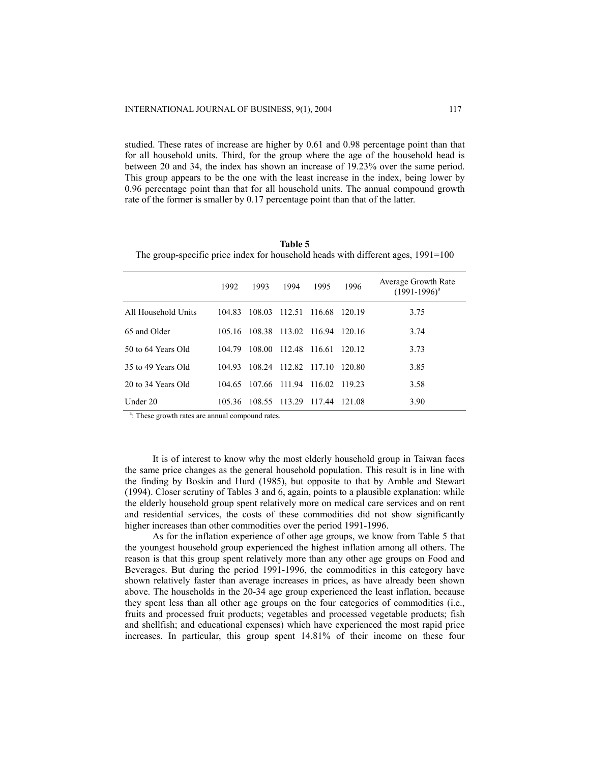studied. These rates of increase are higher by 0.61 and 0.98 percentage point than that for all household units. Third, for the group where the age of the household head is between 20 and 34, the index has shown an increase of 19.23% over the same period. This group appears to be the one with the least increase in the index, being lower by 0.96 percentage point than that for all household units. The annual compound growth rate of the former is smaller by 0.17 percentage point than that of the latter.

| Table 5                                                                            |  |
|------------------------------------------------------------------------------------|--|
| The group-specific price index for household heads with different ages, $1991=100$ |  |

|                     | 1992   | 1993   | 1994                 | 1995     | 1996   | Average Growth Rate<br>$(1991-1996)^{a}$ |
|---------------------|--------|--------|----------------------|----------|--------|------------------------------------------|
| All Household Units | 104.83 | 108.03 | 112.51               | 116.68   | 120.19 | 3.75                                     |
| 65 and Older        | 105 16 | 108.38 | 113.02               | 116.94   | 120.16 | 3.74                                     |
| 50 to 64 Years Old  | 104.79 | 108.00 | 112.48               | - 116.61 | 120.12 | 3.73                                     |
| 35 to 49 Years Old  | 104.93 |        | 108.24 112.82 117.10 |          | 120.80 | 3.85                                     |
| 20 to 34 Years Old  | 104.65 | 107.66 | 111.94               | 116.02   | 119.23 | 3.58                                     |
| Under 20            | 105.36 | 108.55 | 113.29               | 117.44   | 121.08 | 3.90                                     |

<sup>a</sup>: These growth rates are annual compound rates.

It is of interest to know why the most elderly household group in Taiwan faces the same price changes as the general household population. This result is in line with the finding by Boskin and Hurd (1985), but opposite to that by Amble and Stewart (1994). Closer scrutiny of Tables 3 and 6, again, points to a plausible explanation: while the elderly household group spent relatively more on medical care services and on rent and residential services, the costs of these commodities did not show significantly higher increases than other commodities over the period 1991-1996.

As for the inflation experience of other age groups, we know from Table 5 that the youngest household group experienced the highest inflation among all others. The reason is that this group spent relatively more than any other age groups on Food and Beverages. But during the period 1991-1996, the commodities in this category have shown relatively faster than average increases in prices, as have already been shown above. The households in the 20-34 age group experienced the least inflation, because they spent less than all other age groups on the four categories of commodities (i.e., fruits and processed fruit products; vegetables and processed vegetable products; fish and shellfish; and educational expenses) which have experienced the most rapid price increases. In particular, this group spent 14.81% of their income on these four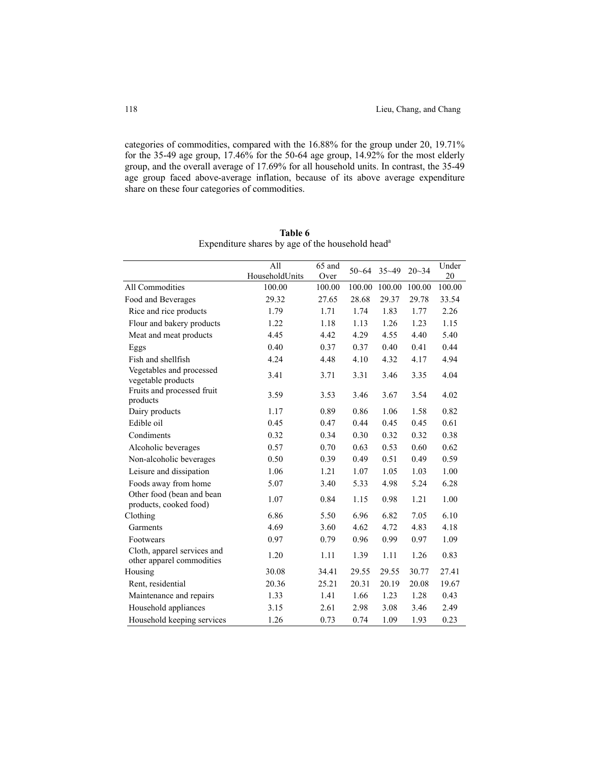categories of commodities, compared with the 16.88% for the group under 20, 19.71% for the 35-49 age group, 17.46% for the 50-64 age group, 14.92% for the most elderly group, and the overall average of 17.69% for all household units. In contrast, the 35-49 age group faced above-average inflation, because of its above average expenditure share on these four categories of commodities.

|                                                          | All            | $\overline{65}$ and | $50 - 64$ | $35 - 49$ | $20 - 34$ | Under  |
|----------------------------------------------------------|----------------|---------------------|-----------|-----------|-----------|--------|
|                                                          | HouseholdUnits | Over                |           |           |           | 20     |
| All Commodities                                          | 100.00         | 100.00              | 100.00    | 100.00    | 100.00    | 100.00 |
| Food and Beverages                                       | 29.32          | 27.65               | 28.68     | 29.37     | 29.78     | 33.54  |
| Rice and rice products                                   | 1.79           | 1.71                | 1.74      | 1.83      | 1.77      | 2.26   |
| Flour and bakery products                                | 1.22           | 1.18                | 1.13      | 1.26      | 1.23      | 1.15   |
| Meat and meat products                                   | 4.45           | 4.42                | 4.29      | 4.55      | 4.40      | 5.40   |
| Eggs                                                     | 0.40           | 0.37                | 0.37      | 0.40      | 0.41      | 0.44   |
| Fish and shellfish                                       | 4.24           | 4.48                | 4.10      | 4.32      | 4.17      | 4.94   |
| Vegetables and processed<br>vegetable products           | 3.41           | 3.71                | 3.31      | 3.46      | 3.35      | 4.04   |
| Fruits and processed fruit<br>products                   | 3.59           | 3.53                | 3.46      | 3.67      | 3.54      | 4.02   |
| Dairy products                                           | 1.17           | 0.89                | 0.86      | 1.06      | 1.58      | 0.82   |
| Edible oil                                               | 0.45           | 0.47                | 0.44      | 0.45      | 0.45      | 0.61   |
| Condiments                                               | 0.32           | 0.34                | 0.30      | 0.32      | 0.32      | 0.38   |
| Alcoholic beverages                                      | 0.57           | 0.70                | 0.63      | 0.53      | 0.60      | 0.62   |
| Non-alcoholic beverages                                  | 0.50           | 0.39                | 0.49      | 0.51      | 0.49      | 0.59   |
| Leisure and dissipation                                  | 1.06           | 1.21                | 1.07      | 1.05      | 1.03      | 1.00   |
| Foods away from home                                     | 5.07           | 3.40                | 5.33      | 4.98      | 5.24      | 6.28   |
| Other food (bean and bean<br>products, cooked food)      | 1.07           | 0.84                | 1.15      | 0.98      | 1.21      | 1.00   |
| Clothing                                                 | 6.86           | 5.50                | 6.96      | 6.82      | 7.05      | 6.10   |
| Garments                                                 | 4.69           | 3.60                | 4.62      | 4.72      | 4.83      | 4.18   |
| Footwears                                                | 0.97           | 0.79                | 0.96      | 0.99      | 0.97      | 1.09   |
| Cloth, apparel services and<br>other apparel commodities | 1.20           | 1.11                | 1.39      | 1.11      | 1.26      | 0.83   |
| Housing                                                  | 30.08          | 34.41               | 29.55     | 29.55     | 30.77     | 27.41  |
| Rent, residential                                        | 20.36          | 25.21               | 20.31     | 20.19     | 20.08     | 19.67  |
| Maintenance and repairs                                  | 1.33           | 1.41                | 1.66      | 1.23      | 1.28      | 0.43   |
| Household appliances                                     | 3.15           | 2.61                | 2.98      | 3.08      | 3.46      | 2.49   |
| Household keeping services                               | 1.26           | 0.73                | 0.74      | 1.09      | 1.93      | 0.23   |

**Table 6**  Expenditure shares by age of the household head<sup>a</sup>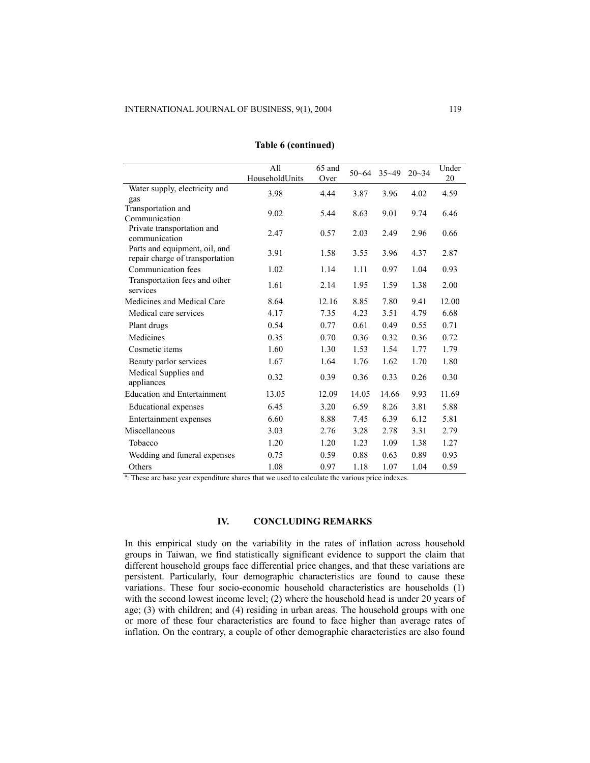|                                                                  | All<br>HouseholdUnits | 65 and<br>Over | $50 - 64$ | $35 - 49$ | $20 - 34$ | Under<br>20 |
|------------------------------------------------------------------|-----------------------|----------------|-----------|-----------|-----------|-------------|
| Water supply, electricity and<br>gas                             | 3.98                  | 4.44           | 3.87      | 3.96      | 4.02      | 4.59        |
| Transportation and<br>Communication                              | 9.02                  | 5.44           | 8.63      | 9.01      | 9.74      | 6.46        |
| Private transportation and<br>communication                      | 2.47                  | 0.57           | 2.03      | 2.49      | 2.96      | 0.66        |
| Parts and equipment, oil, and<br>repair charge of transportation | 3.91                  | 1.58           | 3.55      | 3.96      | 4.37      | 2.87        |
| Communication fees                                               | 1.02                  | 1.14           | 1.11      | 0.97      | 1.04      | 0.93        |
| Transportation fees and other<br>services                        | 1.61                  | 2.14           | 1.95      | 1.59      | 1.38      | 2.00        |
| Medicines and Medical Care                                       | 8.64                  | 12.16          | 8.85      | 7.80      | 9.41      | 12.00       |
| Medical care services                                            | 4.17                  | 7.35           | 4.23      | 3.51      | 4.79      | 6.68        |
| Plant drugs                                                      | 0.54                  | 0.77           | 0.61      | 0.49      | 0.55      | 0.71        |
| Medicines                                                        | 0.35                  | 0.70           | 0.36      | 0.32      | 0.36      | 0.72        |
| Cosmetic items                                                   | 1.60                  | 1.30           | 1.53      | 1.54      | 1.77      | 1.79        |
| Beauty parlor services                                           | 1.67                  | 1.64           | 1.76      | 1.62      | 1.70      | 1.80        |
| Medical Supplies and<br>appliances                               | 0.32                  | 0.39           | 0.36      | 0.33      | 0.26      | 0.30        |
| <b>Education and Entertainment</b>                               | 13.05                 | 12.09          | 14.05     | 14.66     | 9.93      | 11.69       |
| <b>Educational</b> expenses                                      | 6.45                  | 3.20           | 6.59      | 8.26      | 3.81      | 5.88        |
| Entertainment expenses                                           | 6.60                  | 8.88           | 7.45      | 6.39      | 6.12      | 5.81        |
| Miscellaneous                                                    | 3.03                  | 2.76           | 3.28      | 2.78      | 3.31      | 2.79        |
| Tobacco                                                          | 1.20                  | 1.20           | 1.23      | 1.09      | 1.38      | 1.27        |
| Wedding and funeral expenses                                     | 0.75                  | 0.59           | 0.88      | 0.63      | 0.89      | 0.93        |
| Others                                                           | 1.08                  | 0.97           | 1.18      | 1.07      | 1.04      | 0.59        |

### **Table 6 (continued)**

a: These are base year expenditure shares that we used to calculate the various price indexes.

### **IV. CONCLUDING REMARKS**

In this empirical study on the variability in the rates of inflation across household groups in Taiwan, we find statistically significant evidence to support the claim that different household groups face differential price changes, and that these variations are persistent. Particularly, four demographic characteristics are found to cause these variations. These four socio-economic household characteristics are households (1) with the second lowest income level; (2) where the household head is under 20 years of age; (3) with children; and (4) residing in urban areas. The household groups with one or more of these four characteristics are found to face higher than average rates of inflation. On the contrary, a couple of other demographic characteristics are also found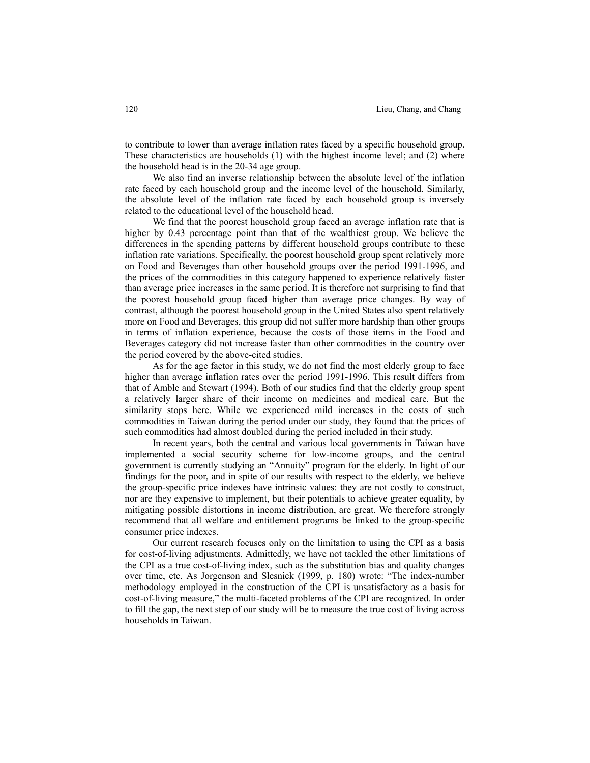to contribute to lower than average inflation rates faced by a specific household group. These characteristics are households (1) with the highest income level; and (2) where the household head is in the 20-34 age group.

 We also find an inverse relationship between the absolute level of the inflation rate faced by each household group and the income level of the household. Similarly, the absolute level of the inflation rate faced by each household group is inversely related to the educational level of the household head.

 We find that the poorest household group faced an average inflation rate that is higher by 0.43 percentage point than that of the wealthiest group. We believe the differences in the spending patterns by different household groups contribute to these inflation rate variations. Specifically, the poorest household group spent relatively more on Food and Beverages than other household groups over the period 1991-1996, and the prices of the commodities in this category happened to experience relatively faster than average price increases in the same period. It is therefore not surprising to find that the poorest household group faced higher than average price changes. By way of contrast, although the poorest household group in the United States also spent relatively more on Food and Beverages, this group did not suffer more hardship than other groups in terms of inflation experience, because the costs of those items in the Food and Beverages category did not increase faster than other commodities in the country over the period covered by the above-cited studies.

 As for the age factor in this study, we do not find the most elderly group to face higher than average inflation rates over the period 1991-1996. This result differs from that of Amble and Stewart (1994). Both of our studies find that the elderly group spent a relatively larger share of their income on medicines and medical care. But the similarity stops here. While we experienced mild increases in the costs of such commodities in Taiwan during the period under our study, they found that the prices of such commodities had almost doubled during the period included in their study.

 In recent years, both the central and various local governments in Taiwan have implemented a social security scheme for low-income groups, and the central government is currently studying an "Annuity" program for the elderly. In light of our findings for the poor, and in spite of our results with respect to the elderly, we believe the group-specific price indexes have intrinsic values: they are not costly to construct, nor are they expensive to implement, but their potentials to achieve greater equality, by mitigating possible distortions in income distribution, are great. We therefore strongly recommend that all welfare and entitlement programs be linked to the group-specific consumer price indexes.

 Our current research focuses only on the limitation to using the CPI as a basis for cost-of-living adjustments. Admittedly, we have not tackled the other limitations of the CPI as a true cost-of-living index, such as the substitution bias and quality changes over time, etc. As Jorgenson and Slesnick (1999, p. 180) wrote: "The index-number methodology employed in the construction of the CPI is unsatisfactory as a basis for cost-of-living measure," the multi-faceted problems of the CPI are recognized. In order to fill the gap, the next step of our study will be to measure the true cost of living across households in Taiwan.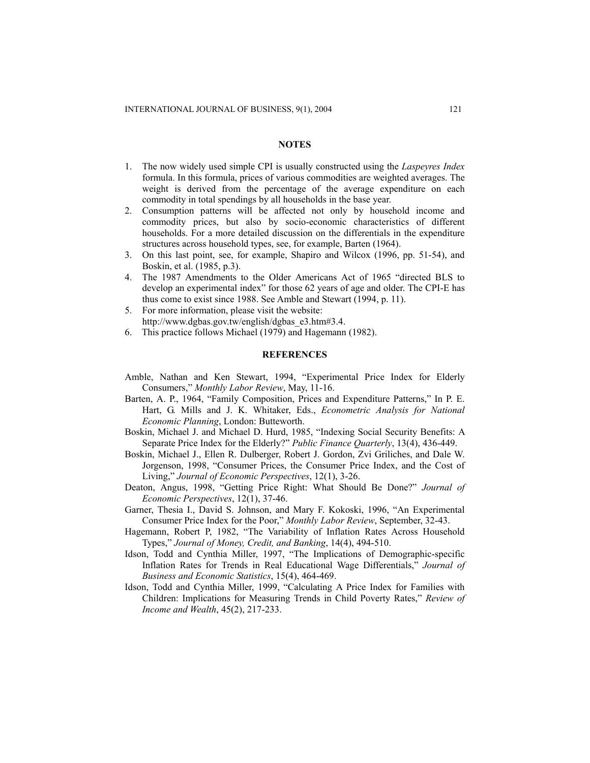#### **NOTES**

- 1. The now widely used simple CPI is usually constructed using the *Laspeyres Index* formula. In this formula, prices of various commodities are weighted averages. The weight is derived from the percentage of the average expenditure on each commodity in total spendings by all households in the base year.
- 2. Consumption patterns will be affected not only by household income and commodity prices, but also by socio-economic characteristics of different households. For a more detailed discussion on the differentials in the expenditure structures across household types, see, for example, Barten (1964).
- 3. On this last point, see, for example, Shapiro and Wilcox (1996, pp. 51-54), and Boskin, et al. (1985, p.3).
- 4. The 1987 Amendments to the Older Americans Act of 1965 "directed BLS to develop an experimental index" for those 62 years of age and older. The CPI-E has thus come to exist since 1988. See Amble and Stewart (1994, p. 11).
- 5. For more information, please visit the website: http://www.dgbas.gov.tw/english/dgbas\_e3.htm#3.4.
- 6. This practice follows Michael (1979) and Hagemann (1982).

#### **REFERENCES**

- Amble, Nathan and Ken Stewart, 1994, "Experimental Price Index for Elderly Consumers," *Monthly Labor Review*, May, 11-16.
- Barten, A. P., 1964, "Family Composition, Prices and Expenditure Patterns," In P. E. Hart, G. Mills and J. K. Whitaker, Eds., *Econometric Analysis for National Economic Planning*, London: Butteworth.
- Boskin, Michael J. and Michael D. Hurd, 1985, "Indexing Social Security Benefits: A Separate Price Index for the Elderly?" *Public Finance Quarterly*, 13(4), 436-449.
- Boskin, Michael J., Ellen R. Dulberger, Robert J. Gordon, Zvi Griliches, and Dale W. Jorgenson, 1998, "Consumer Prices, the Consumer Price Index, and the Cost of Living," *Journal of Economic Perspectives*, 12(1), 3-26.
- Deaton, Angus, 1998, "Getting Price Right: What Should Be Done?" *Journal of Economic Perspectives*, 12(1), 37-46.
- Garner, Thesia I., David S. Johnson, and Mary F. Kokoski, 1996, "An Experimental Consumer Price Index for the Poor," *Monthly Labor Review*, September, 32-43.
- Hagemann, Robert P, 1982, "The Variability of Inflation Rates Across Household Types," *Journal of Money, Credit, and Banking*, 14(4), 494-510.
- Idson, Todd and Cynthia Miller, 1997, "The Implications of Demographic-specific Inflation Rates for Trends in Real Educational Wage Differentials," *Journal of Business and Economic Statistics*, 15(4), 464-469.
- Idson, Todd and Cynthia Miller, 1999, "Calculating A Price Index for Families with Children: Implications for Measuring Trends in Child Poverty Rates," *Review of Income and Wealth*, 45(2), 217-233.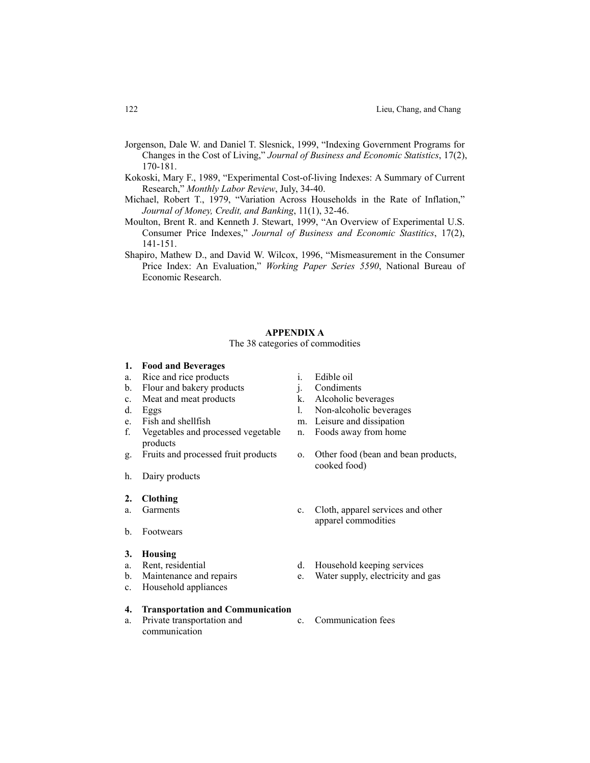- Jorgenson, Dale W. and Daniel T. Slesnick, 1999, "Indexing Government Programs for Changes in the Cost of Living," *Journal of Business and Economic Statistics*, 17(2), 170-181.
- Kokoski, Mary F., 1989, "Experimental Cost-of-living Indexes: A Summary of Current Research," *Monthly Labor Review*, July, 34-40.
- Michael, Robert T., 1979, "Variation Across Households in the Rate of Inflation," *Journal of Money, Credit, and Banking*, 11(1), 32-46.
- Moulton, Brent R. and Kenneth J. Stewart, 1999, "An Overview of Experimental U.S. Consumer Price Indexes," *Journal of Business and Economic Stastitics*, 17(2), 141-151.
- Shapiro, Mathew D., and David W. Wilcox, 1996, "Mismeasurement in the Consumer Price Index: An Evaluation," *Working Paper Series 5590*, National Bureau of Economic Research.

#### **APPENDIX A**

### The 38 categories of commodities

- **1. Food and Beverages**
- a. Rice and rice products i. Edible oil
- b. Flour and bakery products i. Condiments
- c. Meat and meat products k. Alcoholic beverages
- 
- 
- f. Vegetables and processed vegetable products
- 
- h. Dairy products
- **2. Clothing**
- 
- b. Footwears
- **3. Housing**
- 
- 
- c. Household appliances

## **4. Transportation and Communication**

a. Private transportation and communication

- 
- 
- 
- d. Eggs l. Non-alcoholic beverages
- e. Fish and shellfish m. Leisure and dissipation
	- n. Foods away from home
- g. Fruits and processed fruit products o. Other food (bean and bean products, cooked food)
- a. Garments c. Cloth, apparel services and other apparel commodities
- a. Rent, residential d. Household keeping services
- b. Maintenance and repairs e. Water supply, electricity and gas
	- c. Communication fees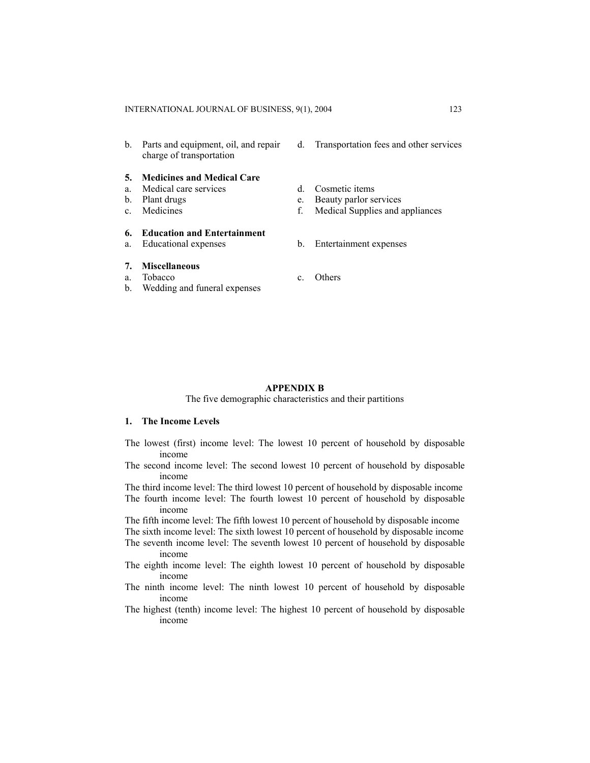b. Parts and equipment, oil, and repair charge of transportation

#### **5. Medicines and Medical Care**

- a. Medical care services d. Cosmetic items
- 
- 

## **6. Education and Entertainment**

## **7. Miscellaneous**

- a. Tobacco c. Others
- b. Wedding and funeral expenses
- d. Transportation fees and other services
- 
- b. Plant drugs e. Beauty parlor services
- c. Medicines f. Medical Supplies and appliances
- a. Educational expenses b. Entertainment expenses
	-

#### **APPENDIX B**

## The five demographic characteristics and their partitions

#### **1. The Income Levels**

- The lowest (first) income level: The lowest 10 percent of household by disposable income
- The second income level: The second lowest 10 percent of household by disposable income
- The third income level: The third lowest 10 percent of household by disposable income The fourth income level: The fourth lowest 10 percent of household by disposable
- income

The fifth income level: The fifth lowest 10 percent of household by disposable income

- The sixth income level: The sixth lowest 10 percent of household by disposable income The seventh income level: The seventh lowest 10 percent of household by disposable
- income
- The eighth income level: The eighth lowest 10 percent of household by disposable income
- The ninth income level: The ninth lowest 10 percent of household by disposable income
- The highest (tenth) income level: The highest 10 percent of household by disposable income